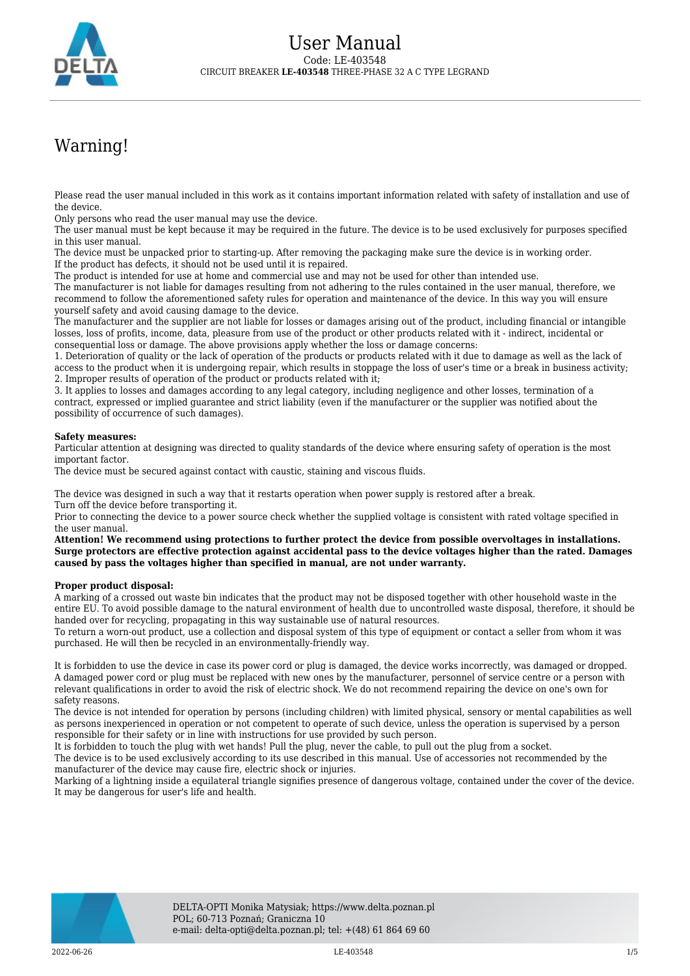

## Warning!

Please read the user manual included in this work as it contains important information related with safety of installation and use of the device.

Only persons who read the user manual may use the device.

The user manual must be kept because it may be required in the future. The device is to be used exclusively for purposes specified in this user manual.

The device must be unpacked prior to starting-up. After removing the packaging make sure the device is in working order. If the product has defects, it should not be used until it is repaired.

The product is intended for use at home and commercial use and may not be used for other than intended use.

The manufacturer is not liable for damages resulting from not adhering to the rules contained in the user manual, therefore, we recommend to follow the aforementioned safety rules for operation and maintenance of the device. In this way you will ensure yourself safety and avoid causing damage to the device.

The manufacturer and the supplier are not liable for losses or damages arising out of the product, including financial or intangible losses, loss of profits, income, data, pleasure from use of the product or other products related with it - indirect, incidental or consequential loss or damage. The above provisions apply whether the loss or damage concerns:

1. Deterioration of quality or the lack of operation of the products or products related with it due to damage as well as the lack of access to the product when it is undergoing repair, which results in stoppage the loss of user's time or a break in business activity; 2. Improper results of operation of the product or products related with it;

3. It applies to losses and damages according to any legal category, including negligence and other losses, termination of a contract, expressed or implied guarantee and strict liability (even if the manufacturer or the supplier was notified about the possibility of occurrence of such damages).

## **Safety measures:**

Particular attention at designing was directed to quality standards of the device where ensuring safety of operation is the most important factor.

The device must be secured against contact with caustic, staining and viscous fluids.

The device was designed in such a way that it restarts operation when power supply is restored after a break. Turn off the device before transporting it.

Prior to connecting the device to a power source check whether the supplied voltage is consistent with rated voltage specified in the user manual.

**Attention! We recommend using protections to further protect the device from possible overvoltages in installations. Surge protectors are effective protection against accidental pass to the device voltages higher than the rated. Damages caused by pass the voltages higher than specified in manual, are not under warranty.**

## **Proper product disposal:**

A marking of a crossed out waste bin indicates that the product may not be disposed together with other household waste in the entire EU. To avoid possible damage to the natural environment of health due to uncontrolled waste disposal, therefore, it should be handed over for recycling, propagating in this way sustainable use of natural resources.

To return a worn-out product, use a collection and disposal system of this type of equipment or contact a seller from whom it was purchased. He will then be recycled in an environmentally-friendly way.

It is forbidden to use the device in case its power cord or plug is damaged, the device works incorrectly, was damaged or dropped. A damaged power cord or plug must be replaced with new ones by the manufacturer, personnel of service centre or a person with relevant qualifications in order to avoid the risk of electric shock. We do not recommend repairing the device on one's own for safety reasons.

The device is not intended for operation by persons (including children) with limited physical, sensory or mental capabilities as well as persons inexperienced in operation or not competent to operate of such device, unless the operation is supervised by a person responsible for their safety or in line with instructions for use provided by such person.

It is forbidden to touch the plug with wet hands! Pull the plug, never the cable, to pull out the plug from a socket.

The device is to be used exclusively according to its use described in this manual. Use of accessories not recommended by the manufacturer of the device may cause fire, electric shock or injuries.

Marking of a lightning inside a equilateral triangle signifies presence of dangerous voltage, contained under the cover of the device. It may be dangerous for user's life and health.

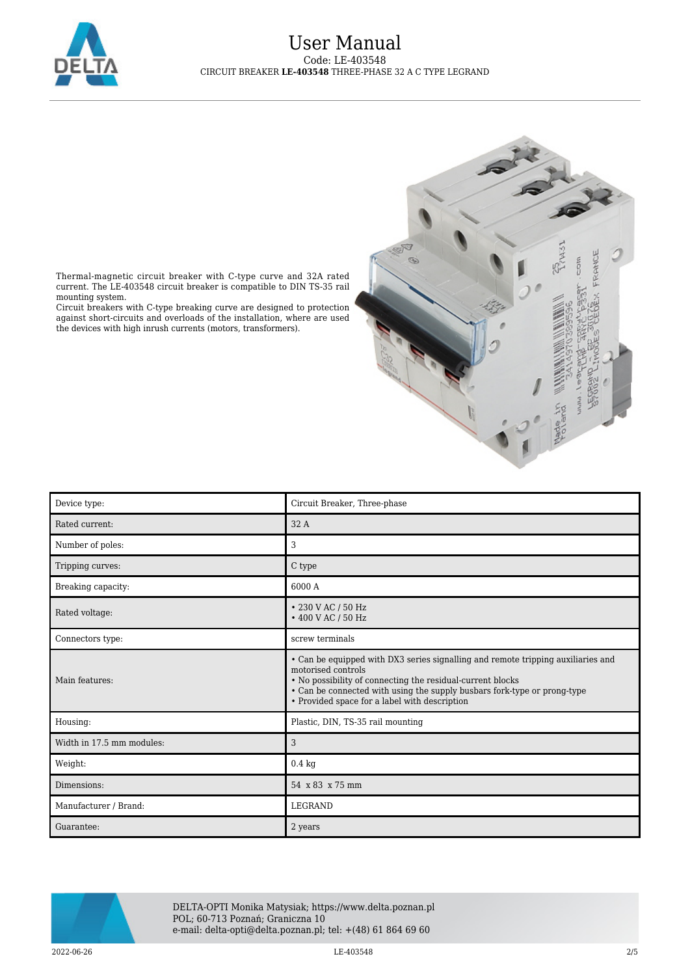

## User Manual Code: LE-403548 CIRCUIT BREAKER **LE-403548** THREE-PHASE 32 A C TYPE LEGRAND



Thermal-magnetic circuit breaker with C-type curve and 32A rated current. The LE-403548 circuit breaker is compatible to DIN TS-35 rail mounting system.

Circuit breakers with C-type breaking curve are designed to protection against short-circuits and overloads of the installation, where are used the devices with high inrush currents (motors, transformers).

| Device type:              | Circuit Breaker, Three-phase                                                                                                                                                                                                                                                                      |
|---------------------------|---------------------------------------------------------------------------------------------------------------------------------------------------------------------------------------------------------------------------------------------------------------------------------------------------|
| Rated current:            | 32 A                                                                                                                                                                                                                                                                                              |
| Number of poles:          | 3                                                                                                                                                                                                                                                                                                 |
| Tripping curves:          | C type                                                                                                                                                                                                                                                                                            |
| Breaking capacity:        | 6000 A                                                                                                                                                                                                                                                                                            |
| Rated voltage:            | • 230 V AC / 50 Hz<br>• 400 V AC / 50 Hz                                                                                                                                                                                                                                                          |
| Connectors type:          | screw terminals                                                                                                                                                                                                                                                                                   |
| Main features:            | • Can be equipped with DX3 series signalling and remote tripping auxiliaries and<br>motorised controls<br>• No possibility of connecting the residual-current blocks<br>• Can be connected with using the supply busbars fork-type or prong-type<br>• Provided space for a label with description |
| Housing:                  | Plastic, DIN, TS-35 rail mounting                                                                                                                                                                                                                                                                 |
| Width in 17.5 mm modules: | 3                                                                                                                                                                                                                                                                                                 |
| Weight:                   | $0.4\ \mathrm{kg}$                                                                                                                                                                                                                                                                                |
| Dimensions:               | 54 x 83 x 75 mm                                                                                                                                                                                                                                                                                   |
| Manufacturer / Brand:     | <b>LEGRAND</b>                                                                                                                                                                                                                                                                                    |
| Guarantee:                | 2 years                                                                                                                                                                                                                                                                                           |



DELTA-OPTI Monika Matysiak; https://www.delta.poznan.pl POL; 60-713 Poznań; Graniczna 10 e-mail: delta-opti@delta.poznan.pl; tel: +(48) 61 864 69 60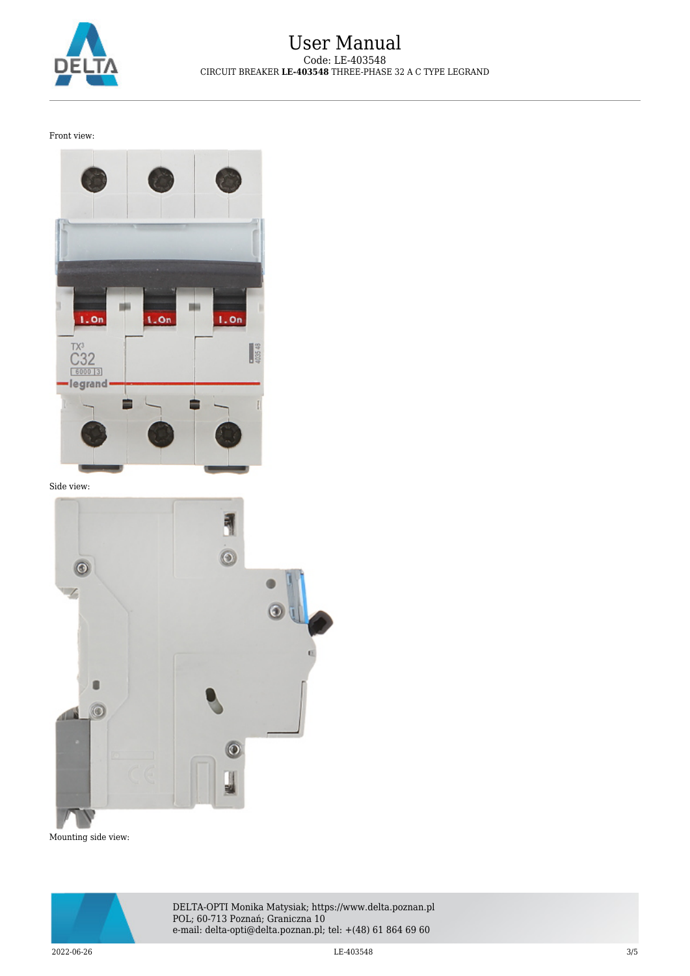

Front view:



Side view:



Mounting side view:



DELTA-OPTI Monika Matysiak; https://www.delta.poznan.pl POL; 60-713 Poznań; Graniczna 10 e-mail: delta-opti@delta.poznan.pl; tel: +(48) 61 864 69 60

 $2022$ -06-26  $3/5$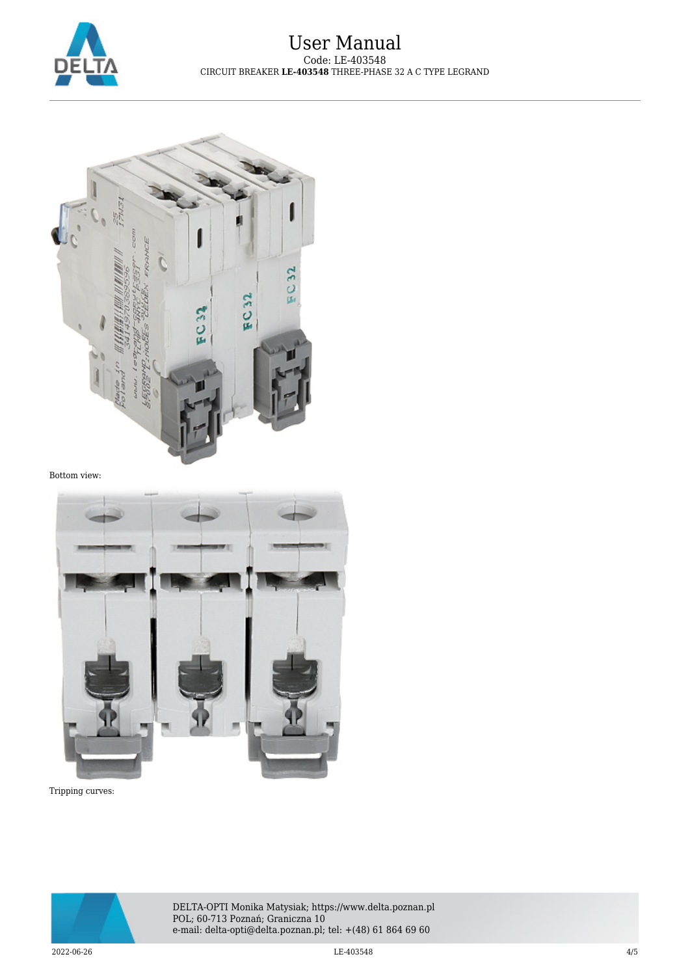



Bottom view:



Tripping curves:



DELTA-OPTI Monika Matysiak; https://www.delta.poznan.pl POL; 60-713 Poznań; Graniczna 10 e-mail: delta-opti@delta.poznan.pl; tel: +(48) 61 864 69 60

 $2022-06-26$  and  $4/5$